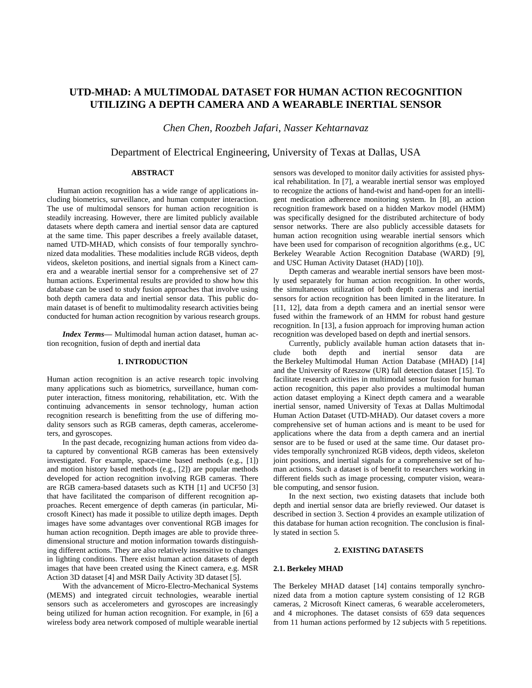# **UTD-MHAD: A MULTIMODAL DATASET FOR HUMAN ACTION RECOGNITION UTILIZING A DEPTH CAMERA AND A WEARABLE INERTIAL SENSOR**

*Chen Chen*, *Roozbeh Jafari*, *Nasser Kehtarnavaz*

## Department of Electrical Engineering, University of Texas at Dallas, USA

## **ABSTRACT**

Human action recognition has a wide range of applications including biometrics, surveillance, and human computer interaction. The use of multimodal sensors for human action recognition is steadily increasing. However, there are limited publicly available datasets where depth camera and inertial sensor data are captured at the same time. This paper describes a freely available dataset, named UTD-MHAD, which consists of four temporally synchronized data modalities. These modalities include RGB videos, depth videos, skeleton positions, and inertial signals from a Kinect camera and a wearable inertial sensor for a comprehensive set of 27 human actions. Experimental results are provided to show how this database can be used to study fusion approaches that involve using both depth camera data and inertial sensor data. This public domain dataset is of benefit to multimodality research activities being conducted for human action recognition by various research groups.

*Index Terms—* Multimodal human action dataset, human action recognition, fusion of depth and inertial data

#### **1. INTRODUCTION**

Human action recognition is an active research topic involving many applications such as biometrics, surveillance, human computer interaction, fitness monitoring, rehabilitation, etc. With the continuing advancements in sensor technology, human action recognition research is benefitting from the use of differing modality sensors such as RGB cameras, depth cameras, accelerometers, and gyroscopes.

In the past decade, recognizing human actions from video data captured by conventional RGB cameras has been extensively investigated. For example, space-time based methods (e.g., [1]) and motion history based methods (e.g., [2]) are popular methods developed for action recognition involving RGB cameras. There are RGB camera-based datasets such as KTH [1] and UCF50 [3] that have facilitated the comparison of different recognition approaches. Recent emergence of depth cameras (in particular, Microsoft Kinect) has made it possible to utilize depth images. Depth images have some advantages over conventional RGB images for human action recognition. Depth images are able to provide threedimensional structure and motion information towards distinguishing different actions. They are also relatively insensitive to changes in lighting conditions. There exist human action datasets of depth images that have been created using the Kinect camera, e.g. MSR Action 3D dataset [4] and MSR Daily Activity 3D dataset [5].

With the advancement of Micro-Electro-Mechanical Systems (MEMS) and integrated circuit technologies, wearable inertial sensors such as accelerometers and gyroscopes are increasingly being utilized for human action recognition. For example, in [6] a wireless body area network composed of multiple wearable inertial sensors was developed to monitor daily activities for assisted physical rehabilitation. In [7], a wearable inertial sensor was employed to recognize the actions of hand-twist and hand-open for an intelligent medication adherence monitoring system. In [8], an action recognition framework based on a hidden Markov model (HMM) was specifically designed for the distributed architecture of body sensor networks. There are also publicly accessible datasets for human action recognition using wearable inertial sensors which have been used for comparison of recognition algorithms (e.g., UC Berkeley Wearable Action Recognition Database (WARD) [9], and USC Human Activity Dataset (HAD) [10]).

Depth cameras and wearable inertial sensors have been mostly used separately for human action recognition. In other words, the simultaneous utilization of both depth cameras and inertial sensors for action recognition has been limited in the literature. In [11, 12], data from a depth camera and an inertial sensor were fused within the framework of an HMM for robust hand gesture recognition. In [13], a fusion approach for improving human action recognition was developed based on depth and inertial sensors.

Currently, publicly available human action datasets that include both depth and inertial sensor data are the Berkeley Multimodal Human Action Database (MHAD) [14] and the University of Rzeszow (UR) fall detection dataset [15]. To facilitate research activities in multimodal sensor fusion for human action recognition, this paper also provides a multimodal human action dataset employing a Kinect depth camera and a wearable inertial sensor, named University of Texas at Dallas Multimodal Human Action Dataset (UTD-MHAD). Our dataset covers a more comprehensive set of human actions and is meant to be used for applications where the data from a depth camera and an inertial sensor are to be fused or used at the same time. Our dataset provides temporally synchronized RGB videos, depth videos, skeleton joint positions, and inertial signals for a comprehensive set of human actions. Such a dataset is of benefit to researchers working in different fields such as image processing, computer vision, wearable computing, and sensor fusion.

In the next section, two existing datasets that include both depth and inertial sensor data are briefly reviewed. Our dataset is described in section 3. Section 4 provides an example utilization of this database for human action recognition. The conclusion is finally stated in section 5.

#### **2. EXISTING DATASETS**

## **2.1. Berkeley MHAD**

The Berkeley MHAD dataset [14] contains temporally synchronized data from a motion capture system consisting of 12 RGB cameras, 2 Microsoft Kinect cameras, 6 wearable accelerometers, and 4 microphones. The dataset consists of 659 data sequences from 11 human actions performed by 12 subjects with 5 repetitions.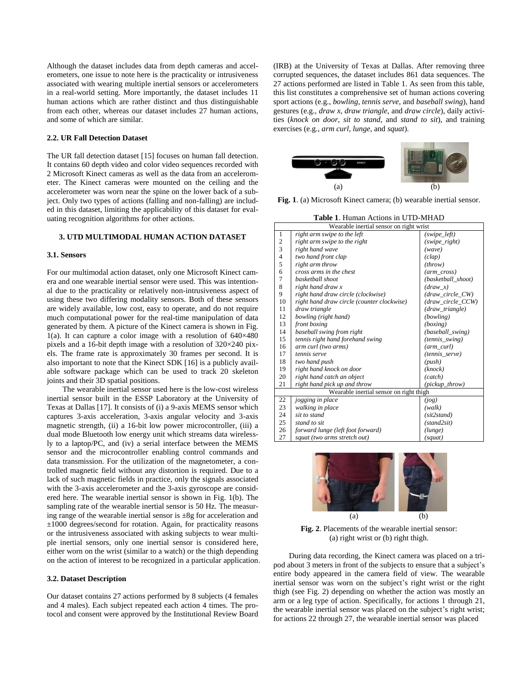Although the dataset includes data from depth cameras and accelerometers, one issue to note here is the practicality or intrusiveness associated with wearing multiple inertial sensors or accelerometers in a real-world setting. More importantly, the dataset includes 11 human actions which are rather distinct and thus distinguishable from each other, whereas our dataset includes 27 human actions, and some of which are similar.

#### **2.2. UR Fall Detection Dataset**

The UR fall detection dataset [15] focuses on human fall detection. It contains 60 depth video and color video sequences recorded with 2 Microsoft Kinect cameras as well as the data from an accelerometer. The Kinect cameras were mounted on the ceiling and the accelerometer was worn near the spine on the lower back of a subject. Only two types of actions (falling and non-falling) are included in this dataset, limiting the applicability of this dataset for evaluating recognition algorithms for other actions.

#### **3. UTD MULTIMODAL HUMAN ACTION DATASET**

#### **3.1. Sensors**

For our multimodal action dataset, only one Microsoft Kinect camera and one wearable inertial sensor were used. This was intentional due to the practicality or relatively non-intrusiveness aspect of using these two differing modality sensors. Both of these sensors are widely available, low cost, easy to operate, and do not require much computational power for the real-time manipulation of data generated by them. A picture of the Kinect camera is shown in Fig. 1(a). It can capture a color image with a resolution of  $640 \times 480$ pixels and a 16-bit depth image with a resolution of 320×240 pixels. The frame rate is approximately 30 frames per second. It is also important to note that the Kinect SDK [16] is a publicly available software package which can be used to track 20 skeleton joints and their 3D spatial positions.

The wearable inertial sensor used here is the low-cost wireless inertial sensor built in the ESSP Laboratory at the University of Texas at Dallas [17]. It consists of (i) a 9-axis MEMS sensor which captures 3-axis acceleration, 3-axis angular velocity and 3-axis magnetic strength, (ii) a 16-bit low power microcontroller, (iii) a dual mode Bluetooth low energy unit which streams data wirelessly to a laptop/PC, and (iv) a serial interface between the MEMS sensor and the microcontroller enabling control commands and data transmission. For the utilization of the magnetometer, a controlled magnetic field without any distortion is required. Due to a lack of such magnetic fields in practice, only the signals associated with the 3-axis accelerometer and the 3-axis gyroscope are considered here. The wearable inertial sensor is shown in Fig. 1(b). The sampling rate of the wearable inertial sensor is 50 Hz. The measuring range of the wearable inertial sensor is  $\pm 8g$  for acceleration and ±1000 degrees/second for rotation. Again, for practicality reasons or the intrusiveness associated with asking subjects to wear multiple inertial sensors, only one inertial sensor is considered here, either worn on the wrist (similar to a watch) or the thigh depending on the action of interest to be recognized in a particular application.

## **3.2. Dataset Description**

Our dataset contains 27 actions performed by 8 subjects (4 females and 4 males). Each subject repeated each action 4 times. The protocol and consent were approved by the Institutional Review Board (IRB) at the University of Texas at Dallas. After removing three corrupted sequences, the dataset includes 861 data sequences. The 27 actions performed are listed in Table 1. As seen from this table, this list constitutes a comprehensive set of human actions covering sport actions (e.g., *bowling*, *tennis serve*, and *baseball swing*), hand gestures (e.g., *draw x*, *draw triangle*, and *draw circle*), daily activities (*knock on door*, *sit to stand*, and *stand to sit*), and training exercises (e.g., *arm curl*, *lunge*, and *squat*).



**Fig. 1**. (a) Microsoft Kinect camera; (b) wearable inertial sensor.

**Table 1**. Human Actions in UTD-MHAD

| Wearable inertial sensor on right wrist |                                            |                    |
|-----------------------------------------|--------------------------------------------|--------------------|
| $\mathbf{1}$                            | right arm swipe to the left                | (swipe_left)       |
| $\overline{\mathbf{c}}$                 | right arm swipe to the right               | (swipe_right)      |
| 3                                       | right hand wave                            | (wave)             |
| $\overline{\mathcal{L}}$                | two hand front clap                        | (clap)             |
| 5                                       | right arm throw                            | (throw)            |
| 6                                       | cross arms in the chest                    | $(arm\_cross)$     |
| 7                                       | basketball shoot                           | (basketball shoot) |
| 8                                       | right hand draw x                          | (dxaw x)           |
| 9                                       | right hand draw circle (clockwise)         | (draw_circle_CW)   |
| 10                                      | right hand draw circle (counter clockwise) | (draw circle CCW)  |
| 11                                      | draw triangle                              | (draw_triangle)    |
| 12                                      | bowling (right hand)                       | (bowling)          |
| 13                                      | front boxing                               | (boxing)           |
| 14                                      | baseball swing from right                  | (baseball_swing)   |
| 15                                      | tennis right hand forehand swing           | (tennis_swing)     |
| 16                                      | arm curl (two arms)                        | (arm_curl)         |
| 17                                      | tennis serve                               | (tennis serve)     |
| 18                                      | two hand push                              | (push)             |
| 19                                      | right hand knock on door                   | (knock)            |
| 20                                      | right hand catch an object                 | (catch)            |
| 21                                      | right hand pick up and throw               | (pickup_throw)     |
| Wearable inertial sensor on right thigh |                                            |                    |
| 22                                      | jogging in place                           | (iog)              |
| 23                                      | walking in place                           | (walk)             |
| 24                                      | sit to stand                               | (sit2stand)        |
| 25                                      | stand to sit                               | (stand2sit)        |
| 26                                      | forward lunge (left foot forward)          | (lunge)            |
| 27                                      | squat (two arms stretch out)               | (squat)            |
|                                         |                                            |                    |



**Fig. 2**. Placements of the wearable inertial sensor: (a) right wrist or (b) right thigh.

During data recording, the Kinect camera was placed on a tripod about 3 meters in front of the subjects to ensure that a subject's entire body appeared in the camera field of view. The wearable inertial sensor was worn on the subject's right wrist or the right thigh (see Fig. 2) depending on whether the action was mostly an arm or a leg type of action. Specifically, for actions 1 through 21, the wearable inertial sensor was placed on the subject's right wrist; for actions 22 through 27, the wearable inertial sensor was placed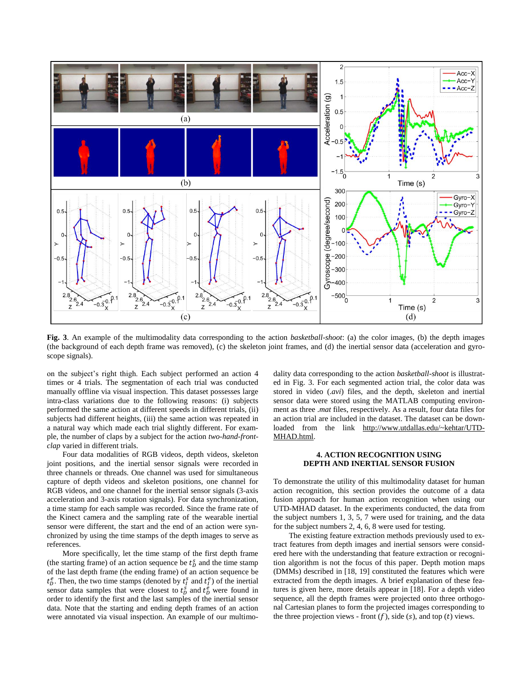

**Fig. 3**. An example of the multimodality data corresponding to the action *basketball-shoot*: (a) the color images, (b) the depth images (the background of each depth frame was removed), (c) the skeleton joint frames, and (d) the inertial sensor data (acceleration and gyroscope signals).

on the subject's right thigh. Each subject performed an action 4 times or 4 trials. The segmentation of each trial was conducted manually offline via visual inspection. This dataset possesses large intra-class variations due to the following reasons: (i) subjects performed the same action at different speeds in different trials, (ii) subjects had different heights, (iii) the same action was repeated in a natural way which made each trial slightly different. For example, the number of claps by a subject for the action *two-hand-frontclap* varied in different trials.

Four data modalities of RGB videos, depth videos, skeleton joint positions, and the inertial sensor signals were recorded in three channels or threads. One channel was used for simultaneous capture of depth videos and skeleton positions, one channel for RGB videos, and one channel for the inertial sensor signals (3-axis acceleration and 3-axis rotation signals). For data synchronization, a time stamp for each sample was recorded. Since the frame rate of the Kinect camera and the sampling rate of the wearable inertial sensor were different, the start and the end of an action were synchronized by using the time stamps of the depth images to serve as references.

More specifically, let the time stamp of the first depth frame (the starting frame) of an action sequence be  $t_0^s$  and the time stamp of the last depth frame (the ending frame) of an action sequence be  $t_0^e$ . Then, the two time stamps (denoted by  $t_i^s$  and  $t_i^e$ ) of the inertial sensor data samples that were closest to  $t_b^s$  and  $t_b^e$  were found in order to identify the first and the last samples of the inertial sensor data. Note that the starting and ending depth frames of an action were annotated via visual inspection. An example of our multimodality data corresponding to the action *basketball-shoot* is illustrated in Fig. 3. For each segmented action trial, the color data was stored in video (.*avi*) files, and the depth, skeleton and inertial sensor data were stored using the MATLAB computing environment as three .*mat* files, respectively. As a result, four data files for an action trial are included in the dataset. The dataset can be downloaded from the link http://www.utdallas.edu/~kehtar/UTD-MHAD.html.

## **4. ACTION RECOGNITION USING DEPTH AND INERTIAL SENSOR FUSION**

To demonstrate the utility of this multimodality dataset for human action recognition, this section provides the outcome of a data fusion approach for human action recognition when using our UTD-MHAD dataset. In the experiments conducted, the data from the subject numbers 1, 3, 5, 7 were used for training, and the data for the subject numbers 2, 4, 6, 8 were used for testing.

The existing feature extraction methods previously used to extract features from depth images and inertial sensors were considered here with the understanding that feature extraction or recognition algorithm is not the focus of this paper. Depth motion maps (DMMs) described in [18, 19] constituted the features which were extracted from the depth images. A brief explanation of these features is given here, more details appear in [18]. For a depth video sequence, all the depth frames were projected onto three orthogonal Cartesian planes to form the projected images corresponding to the three projection views - front  $(f)$ , side  $(s)$ , and top  $(t)$  views.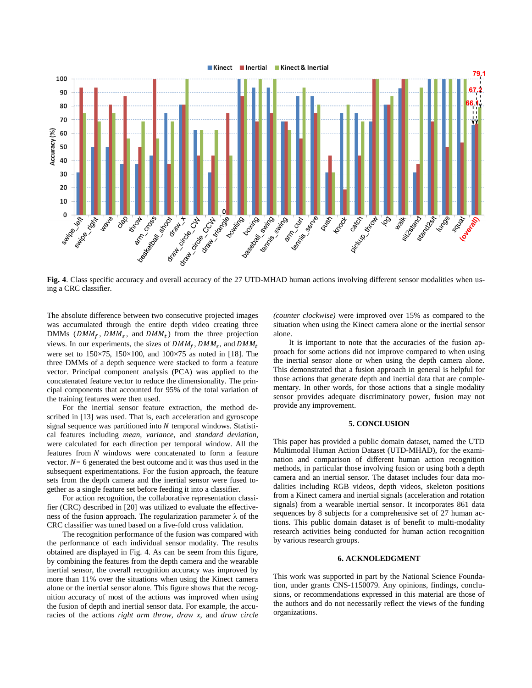

**Fig. 4**. Class specific accuracy and overall accuracy of the 27 UTD-MHAD human actions involving different sensor modalities when using a CRC classifier.

The absolute difference between two consecutive projected images was accumulated through the entire depth video creating three DMMs ( $DMM_f$ ,  $DMM_s$ , and  $DMM_t$ ) from the three projection views. In our experiments, the sizes of  $DMM_f$ ,  $DMM_s$ , and D were set to  $150\times75$ ,  $150\times100$ , and  $100\times75$  as noted in [18]. The three DMMs of a depth sequence were stacked to form a feature vector. Principal component analysis (PCA) was applied to the concatenated feature vector to reduce the dimensionality. The principal components that accounted for 95% of the total variation of the training features were then used.

For the inertial sensor feature extraction, the method described in [13] was used. That is, each acceleration and gyroscope signal sequence was partitioned into  $N$  temporal windows. Statistical features including *mean*, *variance*, and *standard deviation*, were calculated for each direction per temporal window. All the features from  $N$  windows were concatenated to form a feature vector.  $N = 6$  generated the best outcome and it was thus used in the subsequent experimentations. For the fusion approach, the feature sets from the depth camera and the inertial sensor were fused together as a single feature set before feeding it into a classifier.

For action recognition, the collaborative representation classifier (CRC) described in [20] was utilized to evaluate the effectiveness of the fusion approach. The regularization parameter  $\lambda$  of the CRC classifier was tuned based on a five-fold cross validation.

The recognition performance of the fusion was compared with the performance of each individual sensor modality. The results obtained are displayed in Fig. 4. As can be seem from this figure, by combining the features from the depth camera and the wearable inertial sensor, the overall recognition accuracy was improved by more than 11% over the situations when using the Kinect camera alone or the inertial sensor alone. This figure shows that the recognition accuracy of most of the actions was improved when using the fusion of depth and inertial sensor data. For example, the accuracies of the actions *right arm throw*, *draw x*, and *draw circle*  *(counter clockwise)* were improved over 15% as compared to the situation when using the Kinect camera alone or the inertial sensor alone.

It is important to note that the accuracies of the fusion approach for some actions did not improve compared to when using the inertial sensor alone or when using the depth camera alone. This demonstrated that a fusion approach in general is helpful for those actions that generate depth and inertial data that are complementary. In other words, for those actions that a single modality sensor provides adequate discriminatory power, fusion may not provide any improvement.

#### **5. CONCLUSION**

This paper has provided a public domain dataset, named the UTD Multimodal Human Action Dataset (UTD-MHAD), for the examination and comparison of different human action recognition methods, in particular those involving fusion or using both a depth camera and an inertial sensor. The dataset includes four data modalities including RGB videos, depth videos, skeleton positions from a Kinect camera and inertial signals (acceleration and rotation signals) from a wearable inertial sensor. It incorporates 861 data sequences by 8 subjects for a comprehensive set of 27 human actions. This public domain dataset is of benefit to multi-modality research activities being conducted for human action recognition by various research groups.

## **6. ACKNOLEDGMENT**

This work was supported in part by the National Science Foundation, under grants CNS-1150079. Any opinions, findings, conclusions, or recommendations expressed in this material are those of the authors and do not necessarily reflect the views of the funding organizations.